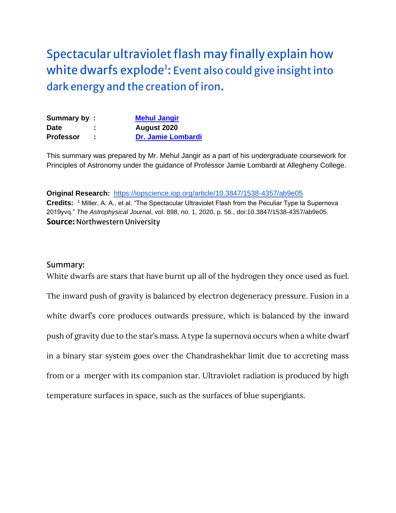[Spectacular ultraviolet flash may finally explain how](https://www.sciencedaily.com/releases/2020/07/200723115907.htm)  white dwarfs explode<sup>1</sup>: Event also could give insight into [dark energy and the creation of iron](https://www.sciencedaily.com/releases/2020/07/200723115907.htm).

| Summary by:      |                | <b>Mehul Jangir</b>       |
|------------------|----------------|---------------------------|
| <b>Date</b>      | $\blacksquare$ | August 2020               |
| <b>Professor</b> |                | <b>Dr. Jamie Lombardi</b> |

This summary was prepared by Mr. Mehul Jangir as a part of his undergraduate coursework for Principles of Astronomy under the guidance of Professor Jamie Lombardi at Allegheny College.

**Original Research:** <https://iopscience.iop.org/article/10.3847/1538-4357/ab9e05> **Credits:** <sup>1</sup> Miller, A. A., et al. "The Spectacular Ultraviolet Flash from the Peculiar Type Ia Supernova 2019yvq." *The Astrophysical Journal*, vol. 898, no. 1, 2020, p. 56., doi:10.3847/1538-4357/ab9e05. **Source:** Northwestern University

## Summary:

White dwarfs are stars that have burnt up all of the hydrogen they once used as fuel. The inward push of gravity is balanced by electron degeneracy pressure. Fusion in a white dwarf's core produces outwards pressure, which is balanced by the inward push of gravity due to the star's mass. A type Ia supernova occurs when a white dwarf in a binary star system goes over the Chandrashekhar limit due to accreting mass from or a merger with its companion star. Ultraviolet radiation is produced by high temperature surfaces in space, such as the surfaces of blue supergiants.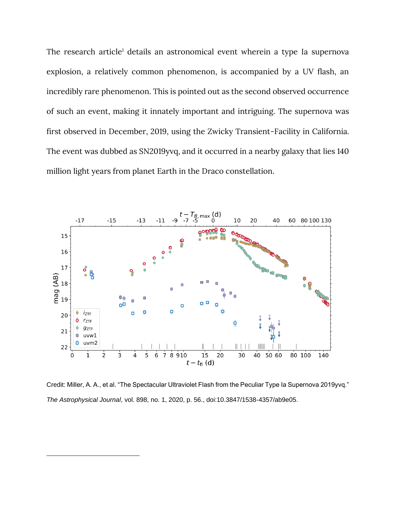The research article<sup>1</sup> details an astronomical event wherein a type Ia supernova explosion, a relatively common phenomenon, is accompanied by a UV flash, an incredibly rare phenomenon. This is pointed out as the second observed occurrence of such an event, making it innately important and intriguing. The supernova was first observed in December, 2019, using the Zwicky Transient-Facility in California. The event was dubbed as SN2019yvq, and it occurred in a nearby galaxy that lies 140 million light years from planet Earth in the Draco constellation.



Credit: Miller, A. A., et al. "The Spectacular Ultraviolet Flash from the Peculiar Type Ia Supernova 2019yvq." *The Astrophysical Journal*, vol. 898, no. 1, 2020, p. 56., doi:10.3847/1538-4357/ab9e05.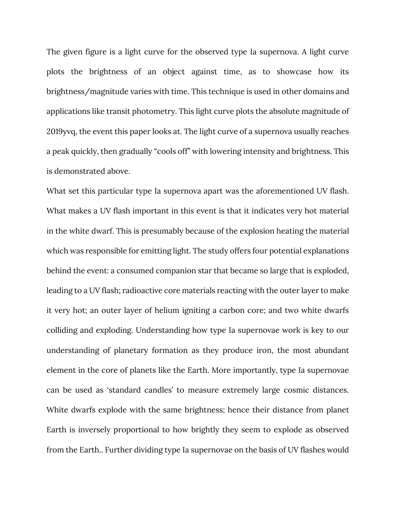The given figure is a light curve for the observed type Ia supernova. A light curve plots the brightness of an object against time, as to showcase how its brightness/magnitude varies with time. This technique is used in other domains and applications like transit photometry. This light curve plots the absolute magnitude of 2019yvq, the event this paper looks at. The light curve of a supernova usually reaches a peak quickly, then gradually "cools off" with lowering intensity and brightness. This is demonstrated above.

What set this particular type Ia supernova apart was the aforementioned UV flash. What makes a UV flash important in this event is that it indicates very hot material in the white dwarf. This is presumably because of the explosion heating the material which was responsible for emitting light. The study offers four potential explanations behind the event: a consumed companion star that became so large that is exploded, leading to a UV flash; radioactive core materials reacting with the outer layer to make it very hot; an outer layer of helium igniting a carbon core; and two white dwarfs colliding and exploding. Understanding how type Ia supernovae work is key to our understanding of planetary formation as they produce iron, the most abundant element in the core of planets like the Earth. More importantly, type Ia supernovae can be used as 'standard candles' to measure extremely large cosmic distances. White dwarfs explode with the same brightness; hence their distance from planet Earth is inversely proportional to how brightly they seem to explode as observed from the Earth.. Further dividing type Ia supernovae on the basis of UV flashes would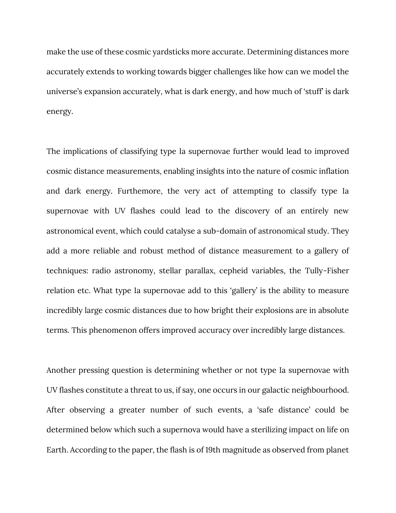make the use of these cosmic yardsticks more accurate. Determining distances more accurately extends to working towards bigger challenges like how can we model the universe's expansion accurately, what is dark energy, and how much of 'stuff' is dark energy.

The implications of classifying type Ia supernovae further would lead to improved cosmic distance measurements, enabling insights into the nature of cosmic inflation and dark energy. Furthemore, the very act of attempting to classify type Ia supernovae with UV flashes could lead to the discovery of an entirely new astronomical event, which could catalyse a sub-domain of astronomical study. They add a more reliable and robust method of distance measurement to a gallery of techniques: radio astronomy, stellar parallax, cepheid variables, the Tully-Fisher relation etc. What type Ia supernovae add to this 'gallery' is the ability to measure incredibly large cosmic distances due to how bright their explosions are in absolute terms. This phenomenon offers improved accuracy over incredibly large distances.

Another pressing question is determining whether or not type Ia supernovae with UV flashes constitute a threat to us, if say, one occurs in our galactic neighbourhood. After observing a greater number of such events, a 'safe distance' could be determined below which such a supernova would have a sterilizing impact on life on Earth. According to the paper, the flash is of 19th magnitude as observed from planet